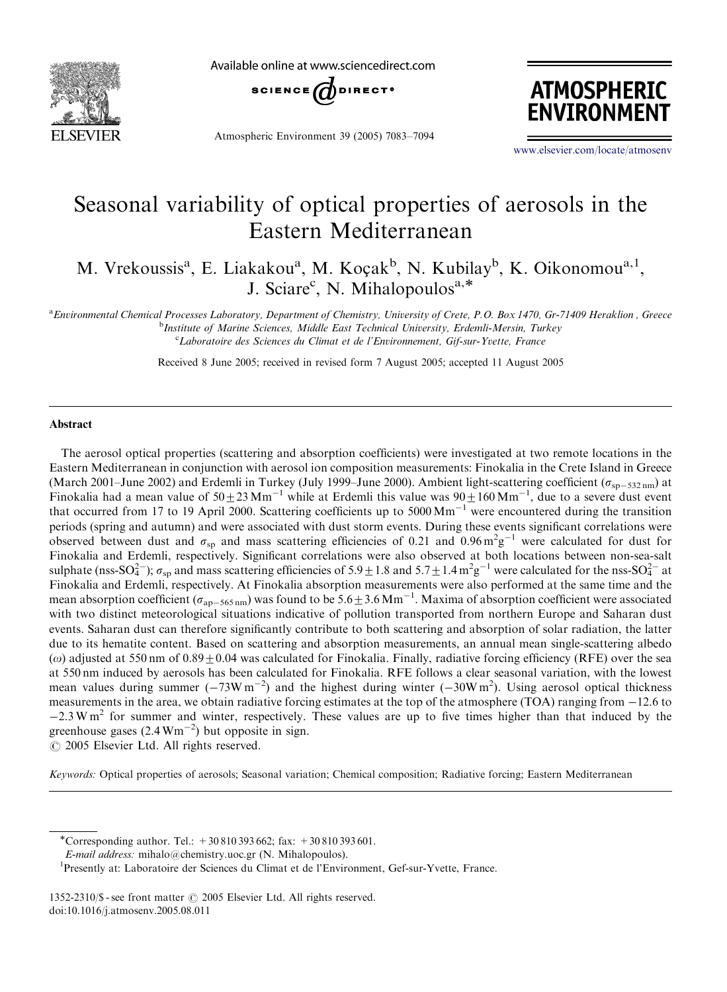

Available online at www.sciencedirect.com



Atmospheric Environment 39 (2005) 7083–7094



<www.elsevier.com/locate/atmosenv>

# Seasonal variability of optical properties of aerosols in the Eastern Mediterranean

M. Vrekoussis<sup>a</sup>, E. Liakakou<sup>a</sup>, M. Koçak<sup>b</sup>, N. Kubilay<sup>b</sup>, K. Oikonomou<sup>a, 1</sup>, J. Sciare<sup>c</sup>, N. Mihalopoulos<sup>a,\*</sup>

a<br>Environmental Chemical Processes Laboratory, Department of Chemistry, University of Crete, P.O. Box 1470, Gr-71409 Heraklion, Greece **b**<br>Institute of Marine Sciences, Middle East Technical University, Erdemli-Mersin, Turkey <sup>c</sup>Laboratoire des Sciences du Climat et de l'Environnement, Gif-sur-Yvette, France

Received 8 June 2005; received in revised form 7 August 2005; accepted 11 August 2005

#### **Abstract**

The aerosol optical properties (scattering and absorption coefficients) were investigated at two remote locations in the Eastern Mediterranean in conjunction with aerosol ion composition measurements: Finokalia in the Crete Island in Greece (March 2001–June 2002) and Erdemli in Turkey (July 1999–June 2000). Ambient light-scattering coefficient ( $\sigma_{\rm sp-532\,nm}$ ) at Finokalia had a mean value of  $50\pm23$  Mm<sup>-1</sup> while at Erdemli this value was  $90\pm160$  Mm<sup>-1</sup>, due to a severe dust event that occurred from 17 to 19 April 2000. Scattering coefficients up to 5000  $\text{Mm}^{-1}$  were encountered during the transition periods (spring and autumn) and were associated with dust storm events. During these events significant correlations were observed between dust and  $\sigma_{sp}$  and mass scattering efficiencies of 0.21 and 0.96 m<sup>2</sup>g<sup>-1</sup> were calculated for dust for Finokalia and Erdemli, respectively. Significant correlations were also observed at both locations between non-sea-salt sulphate (nss-SO<sub>4</sub><sup>-</sup>);  $\sigma_{sp}$  and mass scattering efficiencies of 5.9  $\pm$  1.8 and 5.7  $\pm$  1.4 m<sup>2</sup>g<sup>-1</sup> were calculated for the nss-SO<sub>4</sub><sup>-</sup> at Finokalia and Erdemli, respectively. At Finokalia absorption measurements were also performed at the same time and the mean absorption coefficient ( $\sigma_{ap-565\,\text{nm}}$ ) was found to be 5.6  $\pm$  3.6 Mm<sup>-1</sup>. Maxima of absorption coefficient were associated with two distinct meteorological situations indicative of pollution transported from northern Europe and Saharan dust events. Saharan dust can therefore significantly contribute to both scattering and absorption of solar radiation, the latter due to its hematite content. Based on scattering and absorption measurements, an annual mean single-scattering albedo ( $\omega$ ) adjusted at 550 nm of  $0.89 \pm 0.04$  was calculated for Finokalia. Finally, radiative forcing efficiency (RFE) over the sea at 550 nm induced by aerosols has been calculated for Finokalia. RFE follows a clear seasonal variation, with the lowest mean values during summer  $(-73W \text{ m}^{-2})$  and the highest during winter  $(-30W \text{ m}^{2})$ . Using aerosol optical thickness measurements in the area, we obtain radiative forcing estimates at the top of the atmosphere (TOA) ranging from  $-12.6$  to  $-2.3$  W m<sup>2</sup> for summer and winter, respectively. These values are up to five times higher than that induced by the greenhouse gases  $(2.4 \text{ Wm}^{-2})$  but opposite in sign.  $\odot$  2005 Elsevier Ltd. All rights reserved.

Keywords: Optical properties of aerosols; Seasonal variation; Chemical composition; Radiative forcing; Eastern Mediterranean

1352-2310/\$ - see front matter  $\odot$  2005 Elsevier Ltd. All rights reserved. doi:10.1016/j.atmosenv.2005.08.011

<sup>\*</sup>Corresponding author. Tel.:  $+30810393662$ ; fax:  $+30810393601$ .

E-mail address: mihalo@chemistry.uoc.gr (N. Mihalopoulos).

<sup>&</sup>lt;sup>1</sup>Presently at: Laboratoire der Sciences du Climat et de l'Environment, Gef-sur-Yvette, France.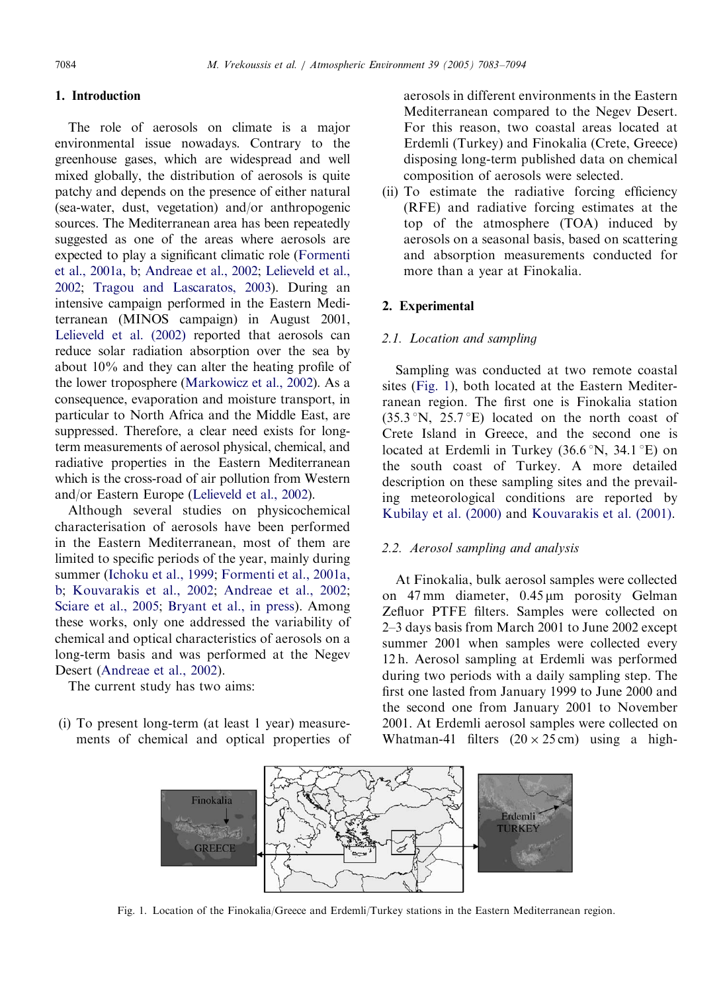# 1. Introduction

The role of aerosols on climate is a major environmental issue nowadays. Contrary to the greenhouse gases, which are widespread and well mixed globally, the distribution of aerosols is quite patchy and depends on the presence of either natural (sea-water, dust, vegetation) and/or anthropogenic sources. The Mediterranean area has been repeatedly suggested as one of the areas where aerosols are expected to play a significant climatic role [\(Formenti](#page-10-0) [et al., 2001a, b;](#page-10-0) [Andreae et al., 2002;](#page-10-0) [Lelieveld et al.,](#page-11-0) [2002](#page-11-0); [Tragou and Lascaratos, 2003\)](#page-11-0). During an intensive campaign performed in the Eastern Mediterranean (MINOS campaign) in August 2001, [Lelieveld et al. \(2002\)](#page-11-0) reported that aerosols can reduce solar radiation absorption over the sea by about 10% and they can alter the heating profile of the lower troposphere ([Markowicz et al., 2002](#page-11-0)). As a consequence, evaporation and moisture transport, in particular to North Africa and the Middle East, are suppressed. Therefore, a clear need exists for longterm measurements of aerosol physical, chemical, and radiative properties in the Eastern Mediterranean which is the cross-road of air pollution from Western and/or Eastern Europe [\(Lelieveld et al., 2002](#page-11-0)).

Although several studies on physicochemical characterisation of aerosols have been performed in the Eastern Mediterranean, most of them are limited to specific periods of the year, mainly during summer [\(Ichoku et al., 1999](#page-10-0); [Formenti et al., 2001a,](#page-10-0) [b;](#page-10-0) [Kouvarakis et al., 2002](#page-10-0); [Andreae et al., 2002;](#page-10-0) [Sciare et al., 2005](#page-11-0); [Bryant et al., in press\)](#page-10-0). Among these works, only one addressed the variability of chemical and optical characteristics of aerosols on a long-term basis and was performed at the Negev Desert ([Andreae et al., 2002\)](#page-10-0).

The current study has two aims:

(i) To present long-term (at least 1 year) measurements of chemical and optical properties of aerosols in different environments in the Eastern Mediterranean compared to the Negev Desert. For this reason, two coastal areas located at Erdemli (Turkey) and Finokalia (Crete, Greece) disposing long-term published data on chemical composition of aerosols were selected.

(ii) To estimate the radiative forcing efficiency (RFE) and radiative forcing estimates at the top of the atmosphere (TOA) induced by aerosols on a seasonal basis, based on scattering and absorption measurements conducted for more than a year at Finokalia.

# 2. Experimental

# 2.1. Location and sampling

Sampling was conducted at two remote coastal sites (Fig. 1), both located at the Eastern Mediterranean region. The first one is Finokalia station  $(35.3 \text{°N}, 25.7 \text{°E})$  located on the north coast of Crete Island in Greece, and the second one is located at Erdemli in Turkey  $(36.6\text{°N}, 34.1\text{°E})$  on the south coast of Turkey. A more detailed description on these sampling sites and the prevailing meteorological conditions are reported by [Kubilay et al. \(2000\)](#page-10-0) and [Kouvarakis et al. \(2001\).](#page-10-0)

# 2.2. Aerosol sampling and analysis

At Finokalia, bulk aerosol samples were collected on 47 mm diameter, 0.45 µm porosity Gelman Zefluor PTFE filters. Samples were collected on 2–3 days basis from March 2001 to June 2002 except summer 2001 when samples were collected every 12 h. Aerosol sampling at Erdemli was performed during two periods with a daily sampling step. The first one lasted from January 1999 to June 2000 and the second one from January 2001 to November 2001. At Erdemli aerosol samples were collected on Whatman-41 filters  $(20 \times 25 \text{ cm})$  using a high-



Fig. 1. Location of the Finokalia/Greece and Erdemli/Turkey stations in the Eastern Mediterranean region.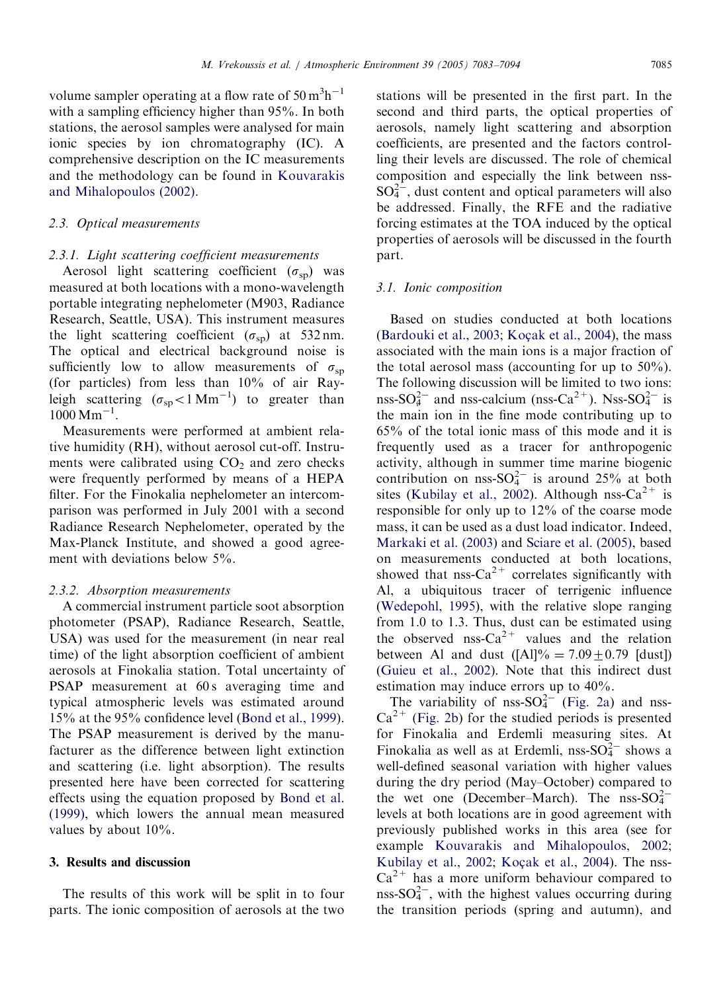volume sampler operating at a flow rate of  $50 \text{ m}^3 \text{h}^{-1}$ with a sampling efficiency higher than 95%. In both stations, the aerosol samples were analysed for main ionic species by ion chromatography (IC). A comprehensive description on the IC measurements and the methodology can be found in [Kouvarakis](#page-10-0) [and Mihalopoulos \(2002\)](#page-10-0).

# 2.3. Optical measurements

#### 2.3.1. Light scattering coefficient measurements

Aerosol light scattering coefficient  $(\sigma_{sp})$  was measured at both locations with a mono-wavelength portable integrating nephelometer (M903, Radiance Research, Seattle, USA). This instrument measures the light scattering coefficient ( $\sigma_{\rm{sp}}$ ) at 532 nm. The optical and electrical background noise is sufficiently low to allow measurements of  $\sigma_{sp}$ (for particles) from less than 10% of air Rayleigh scattering  $(\sigma_{sp} < 1 \text{ Mm}^{-1})$  to greater than  $1000 \,\mathrm{Mm}^{-1}$ .

Measurements were performed at ambient relative humidity (RH), without aerosol cut-off. Instruments were calibrated using  $CO<sub>2</sub>$  and zero checks were frequently performed by means of a HEPA filter. For the Finokalia nephelometer an intercomparison was performed in July 2001 with a second Radiance Research Nephelometer, operated by the Max-Planck Institute, and showed a good agreement with deviations below 5%.

#### 2.3.2. Absorption measurements

A commercial instrument particle soot absorption photometer (PSAP), Radiance Research, Seattle, USA) was used for the measurement (in near real time) of the light absorption coefficient of ambient aerosols at Finokalia station. Total uncertainty of PSAP measurement at 60s averaging time and typical atmospheric levels was estimated around 15% at the 95% confidence level ([Bond et al., 1999\)](#page-10-0). The PSAP measurement is derived by the manufacturer as the difference between light extinction and scattering (i.e. light absorption). The results presented here have been corrected for scattering effects using the equation proposed by [Bond et al.](#page-10-0) [\(1999\)](#page-10-0), which lowers the annual mean measured values by about 10%.

#### 3. Results and discussion

The results of this work will be split in to four parts. The ionic composition of aerosols at the two stations will be presented in the first part. In the second and third parts, the optical properties of aerosols, namely light scattering and absorption coefficients, are presented and the factors controlling their levels are discussed. The role of chemical composition and especially the link between nss- $SO_4^{2-}$ , dust content and optical parameters will also be addressed. Finally, the RFE and the radiative forcing estimates at the TOA induced by the optical properties of aerosols will be discussed in the fourth part.

#### 3.1. Ionic composition

Based on studies conducted at both locations [\(Bardouki et al., 2003](#page-10-0); Koç[ak et al., 2004\)](#page-10-0), the mass associated with the main ions is a major fraction of the total aerosol mass (accounting for up to 50%). The following discussion will be limited to two ions: nss-SO $_4^{2-}$  and nss-calcium (nss-Ca<sup>2+</sup>). Nss-SO $_4^{2-}$  is the main ion in the fine mode contributing up to 65% of the total ionic mass of this mode and it is frequently used as a tracer for anthropogenic activity, although in summer time marine biogenic contribution on nss- $SO_4^{2-}$  is around 25% at both sites ([Kubilay et al., 2002\)](#page-10-0). Although nss-Ca<sup>2+</sup> is responsible for only up to 12% of the coarse mode mass, it can be used as a dust load indicator. Indeed, [Markaki et al. \(2003\)](#page-11-0) and [Sciare et al. \(2005\)](#page-11-0), based on measurements conducted at both locations, showed that nss- $Ca^{2+}$  correlates significantly with Al, a ubiquitous tracer of terrigenic influence [\(Wedepohl, 1995\)](#page-11-0), with the relative slope ranging from 1.0 to 1.3. Thus, dust can be estimated using the observed nss- $Ca^{2+}$  values and the relation between Al and dust  $([Al]\% = 7.09 + 0.79$  [dust]) [\(Guieu et al., 2002](#page-10-0)). Note that this indirect dust estimation may induce errors up to 40%.

The variability of nss- $SO_4^{2-}$  [\(Fig. 2a\)](#page-3-0) and nss- $Ca^{2+}$  [\(Fig. 2b](#page-3-0)) for the studied periods is presented for Finokalia and Erdemli measuring sites. At Finokalia as well as at Erdemli, nss- $SO_4^{2-}$  shows a well-defined seasonal variation with higher values during the dry period (May–October) compared to the wet one (December–March). The  $nss-SO<sub>4</sub><sup>2</sup>$ levels at both locations are in good agreement with previously published works in this area (see for example [Kouvarakis and Mihalopoulos, 2002](#page-10-0); [Kubilay et al., 2002;](#page-10-0) Koç[ak et al., 2004](#page-10-0)). The nss- $Ca<sup>2+</sup>$  has a more uniform behaviour compared to nss- $SO_4^{2-}$ , with the highest values occurring during the transition periods (spring and autumn), and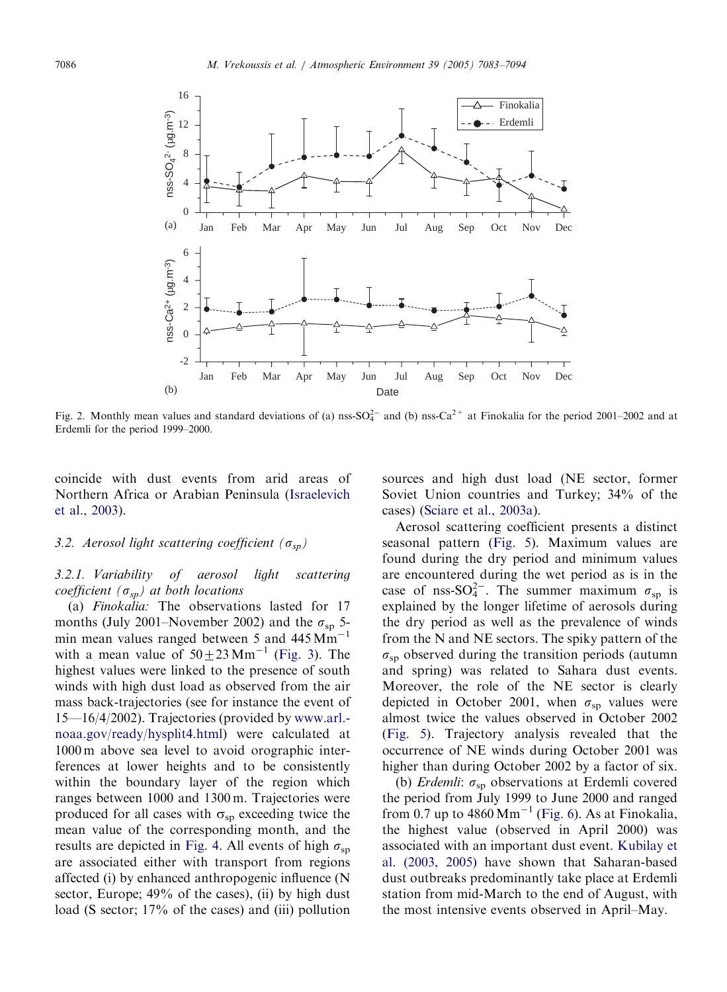<span id="page-3-0"></span>

Fig. 2. Monthly mean values and standard deviations of (a) nss- $SO_4^{2-}$  and (b) nss- $Ca^{2+}$  at Finokalia for the period 2001–2002 and at Erdemli for the period 1999–2000.

coincide with dust events from arid areas of Northern Africa or Arabian Peninsula ([Israelevich](#page-10-0) [et al., 2003\)](#page-10-0).

# 3.2. Aerosol light scattering coefficient ( $\sigma_{sp}$ )

# 3.2.1. Variability of aerosol light scattering coefficient ( $\sigma_{sp}$ ) at both locations

(a) Finokalia: The observations lasted for 17 months (July 2001–November 2002) and the  $\sigma_{sp}$  5min mean values ranged between 5 and  $445 \text{ Mm}^{-1}$ with a mean value of  $50\pm23$  Mm<sup>-1</sup> ([Fig. 3](#page-4-0)). The highest values were linked to the presence of south winds with high dust load as observed from the air mass back-trajectories (see for instance the event of 15—16/4/2002). Trajectories (provided by [www.arl.](http://www.arl.noaa.gov/ready/hysplit4.html) [noaa.gov/ready/hysplit4.html\)](http://www.arl.noaa.gov/ready/hysplit4.html) were calculated at 1000 m above sea level to avoid orographic interferences at lower heights and to be consistently within the boundary layer of the region which ranges between 1000 and 1300 m. Trajectories were produced for all cases with  $\sigma_{\rm{sp}}$  exceeding twice the mean value of the corresponding month, and the results are depicted in [Fig. 4.](#page-5-0) All events of high  $\sigma_{sp}$ are associated either with transport from regions affected (i) by enhanced anthropogenic influence (N sector, Europe; 49% of the cases), (ii) by high dust load (S sector; 17% of the cases) and (iii) pollution

sources and high dust load (NE sector, former Soviet Union countries and Turkey; 34% of the cases) ([Sciare et al., 2003a](#page-11-0)).

Aerosol scattering coefficient presents a distinct seasonal pattern [\(Fig. 5\)](#page-6-0). Maximum values are found during the dry period and minimum values are encountered during the wet period as is in the case of nss-SO $^{2-}$ . The summer maximum  $\sigma_{sp}$  is explained by the longer lifetime of aerosols during the dry period as well as the prevalence of winds from the N and NE sectors. The spiky pattern of the  $\sigma_{sp}$  observed during the transition periods (autumn and spring) was related to Sahara dust events. Moreover, the role of the NE sector is clearly depicted in October 2001, when  $\sigma_{\rm{sp}}$  values were almost twice the values observed in October 2002 ([Fig. 5](#page-6-0)). Trajectory analysis revealed that the occurrence of NE winds during October 2001 was higher than during October 2002 by a factor of six.

(b) Erdemli:  $\sigma_{sp}$  observations at Erdemli covered the period from July 1999 to June 2000 and ranged from 0.7 up to  $4860 \text{ Mm}^{-1}$  [\(Fig. 6\)](#page-6-0). As at Finokalia, the highest value (observed in April 2000) was associated with an important dust event. [Kubilay et](#page-10-0) [al. \(2003, 2005\)](#page-10-0) have shown that Saharan-based dust outbreaks predominantly take place at Erdemli station from mid-March to the end of August, with the most intensive events observed in April–May.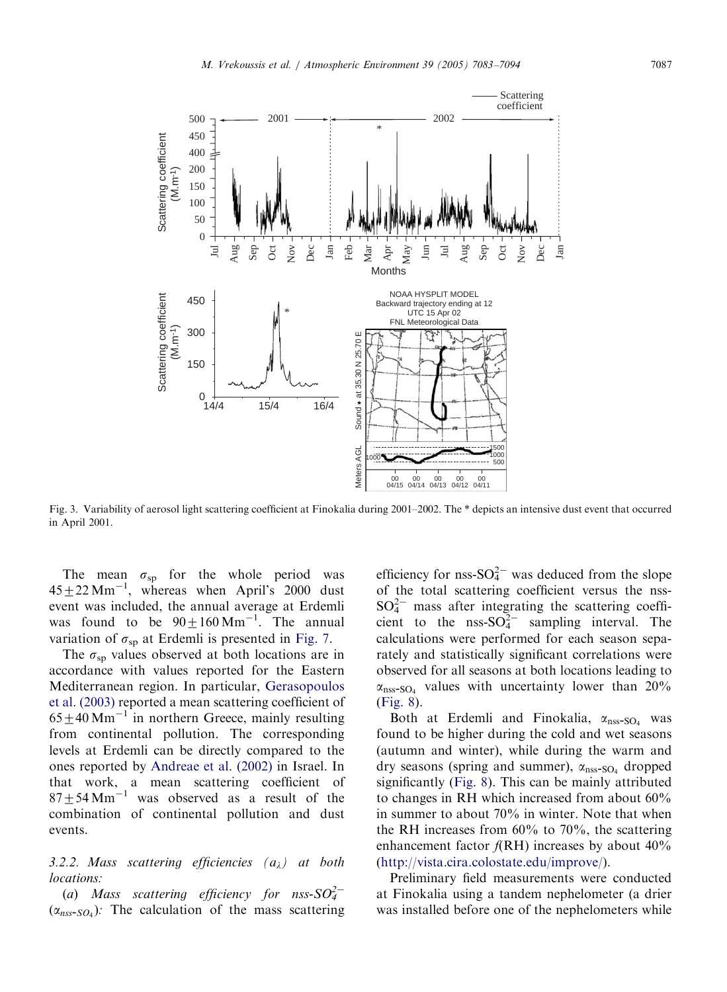<span id="page-4-0"></span>

Fig. 3. Variability of aerosol light scattering coefficient at Finokalia during 2001–2002. The \* depicts an intensive dust event that occurred in April 2001.

The mean  $\sigma_{sp}$  for the whole period was  $45 \pm 22$  Mm<sup>-1</sup>, whereas when April's 2000 dust event was included, the annual average at Erdemli was found to be  $90 \pm 160$  Mm<sup>-1</sup>. The annual variation of  $\sigma_{\rm{sn}}$  at Erdemli is presented in [Fig. 7](#page-7-0).

The  $\sigma_{\rm{sn}}$  values observed at both locations are in accordance with values reported for the Eastern Mediterranean region. In particular, [Gerasopoulos](#page-10-0) [et al. \(2003\)](#page-10-0) reported a mean scattering coefficient of  $65\pm40$  Mm<sup>-1</sup> in northern Greece, mainly resulting from continental pollution. The corresponding levels at Erdemli can be directly compared to the ones reported by [Andreae et al. \(2002\)](#page-10-0) in Israel. In that work, a mean scattering coefficient of  $87 \pm 54$  Mm<sup>-1</sup> was observed as a result of the combination of continental pollution and dust events.

# 3.2.2. Mass scattering efficiencies  $(a_{\lambda})$  at both locations:

(a) Mass scattering efficiency for nss- $SO_4^{2-}$  $(\alpha_{nss-SO_4})$ : The calculation of the mass scattering

efficiency for nss- $SO_4^{2-}$  was deduced from the slope of the total scattering coefficient versus the nss- $SO_4^{2-}$  mass after integrating the scattering coefficient to the nss- $SO_4^{2-}$  sampling interval. The calculations were performed for each season separately and statistically significant correlations were observed for all seasons at both locations leading to  $\alpha_{\text{nss-SO}_4}$  values with uncertainty lower than 20% [\(Fig. 8\)](#page-7-0).

Both at Erdemli and Finokalia,  $\alpha_{\text{nss-SO}_4}$  was found to be higher during the cold and wet seasons (autumn and winter), while during the warm and dry seasons (spring and summer),  $\alpha_{\text{nss-SO}_4}$  dropped significantly ([Fig. 8](#page-7-0)). This can be mainly attributed to changes in RH which increased from about 60% in summer to about 70% in winter. Note that when the RH increases from 60% to 70%, the scattering enhancement factor  $f(RH)$  increases by about 40% [\(http://vista.cira.colostate.edu/improve/](http://vista.cira.colostate.edu/improve/)).

Preliminary field measurements were conducted at Finokalia using a tandem nephelometer (a drier was installed before one of the nephelometers while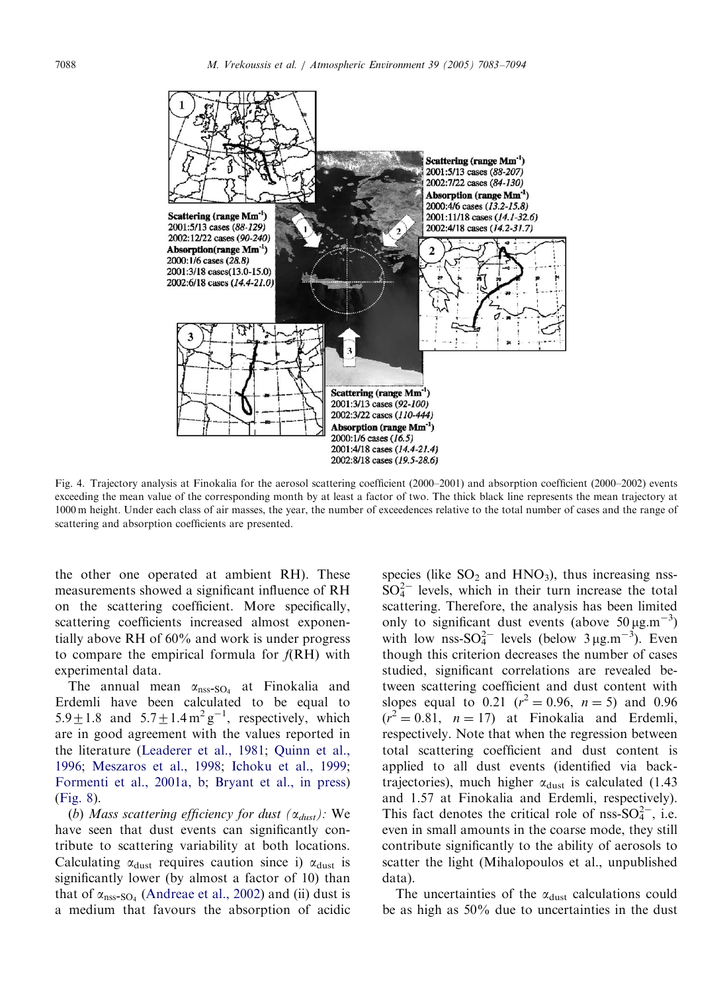<span id="page-5-0"></span>

Fig. 4. Trajectory analysis at Finokalia for the aerosol scattering coefficient (2000–2001) and absorption coefficient (2000–2002) events exceeding the mean value of the corresponding month by at least a factor of two. The thick black line represents the mean trajectory at 1000 m height. Under each class of air masses, the year, the number of exceedences relative to the total number of cases and the range of scattering and absorption coefficients are presented.

the other one operated at ambient RH). These measurements showed a significant influence of RH on the scattering coefficient. More specifically, scattering coefficients increased almost exponentially above RH of 60% and work is under progress to compare the empirical formula for  $f(RH)$  with experimental data.

The annual mean  $\alpha_{\text{nss-SO}_4}$  at Finokalia and Erdemli have been calculated to be equal to 5.9  $\pm$  1.8 and 5.7  $\pm$  1.4 m<sup>2</sup> g<sup>-1</sup>, respectively, which are in good agreement with the values reported in the literature ([Leaderer et al., 1981](#page-11-0); [Quinn et al.,](#page-11-0) [1996](#page-11-0); [Meszaros et al., 1998;](#page-11-0) [Ichoku et al., 1999;](#page-10-0) [Formenti et al., 2001a, b;](#page-10-0) [Bryant et al., in press\)](#page-10-0) ([Fig. 8\)](#page-7-0).

(b) Mass scattering efficiency for dust  $(\alpha_{dust})$ : We have seen that dust events can significantly contribute to scattering variability at both locations. Calculating  $\alpha_{\text{dust}}$  requires caution since i)  $\alpha_{\text{dust}}$  is significantly lower (by almost a factor of 10) than that of  $\alpha_{\text{nss-SO}_4}$  [\(Andreae et al., 2002\)](#page-10-0) and (ii) dust is a medium that favours the absorption of acidic species (like  $SO_2$  and  $HNO_3$ ), thus increasing nss- $SO_4^{2-}$  levels, which in their turn increase the total scattering. Therefore, the analysis has been limited only to significant dust events (above  $50 \mu g.m^{-3}$ ) with low nss- $SO_4^{2-}$  levels (below  $3 \mu g.m^{-3}$ ). Even though this criterion decreases the number of cases studied, significant correlations are revealed between scattering coefficient and dust content with slopes equal to 0.21  $(r^2 = 0.96, n = 5)$  and 0.96  $(r^2 = 0.81, n = 17)$  at Finokalia and Erdemli, respectively. Note that when the regression between total scattering coefficient and dust content is applied to all dust events (identified via backtrajectories), much higher  $\alpha_{\text{dust}}$  is calculated (1.43) and 1.57 at Finokalia and Erdemli, respectively). This fact denotes the critical role of nss- $SO_4^{2-}$ , i.e. even in small amounts in the coarse mode, they still contribute significantly to the ability of aerosols to scatter the light (Mihalopoulos et al., unpublished data).

The uncertainties of the  $\alpha_{\text{dust}}$  calculations could be as high as 50% due to uncertainties in the dust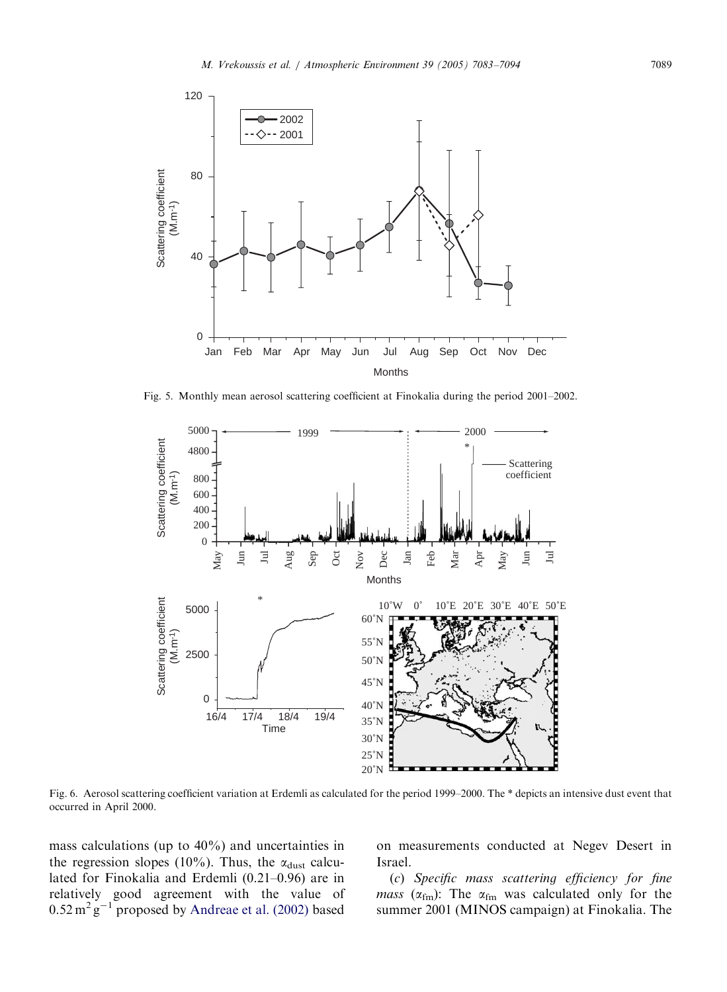<span id="page-6-0"></span>

Fig. 5. Monthly mean aerosol scattering coefficient at Finokalia during the period 2001–2002.



Fig. 6. Aerosol scattering coefficient variation at Erdemli as calculated for the period 1999–2000. The \* depicts an intensive dust event that occurred in April 2000.

mass calculations (up to 40%) and uncertainties in the regression slopes (10%). Thus, the  $\alpha_{\text{dust}}$  calculated for Finokalia and Erdemli (0.21–0.96) are in relatively good agreement with the value of  $0.52 \text{ m}^2 \text{ g}^{-1}$  proposed by [Andreae et al. \(2002\)](#page-10-0) based

on measurements conducted at Negev Desert in Israel.

(c) Specific mass scattering efficiency for fine mass ( $\alpha_{\text{fm}}$ ): The  $\alpha_{\text{fm}}$  was calculated only for the summer 2001 (MINOS campaign) at Finokalia. The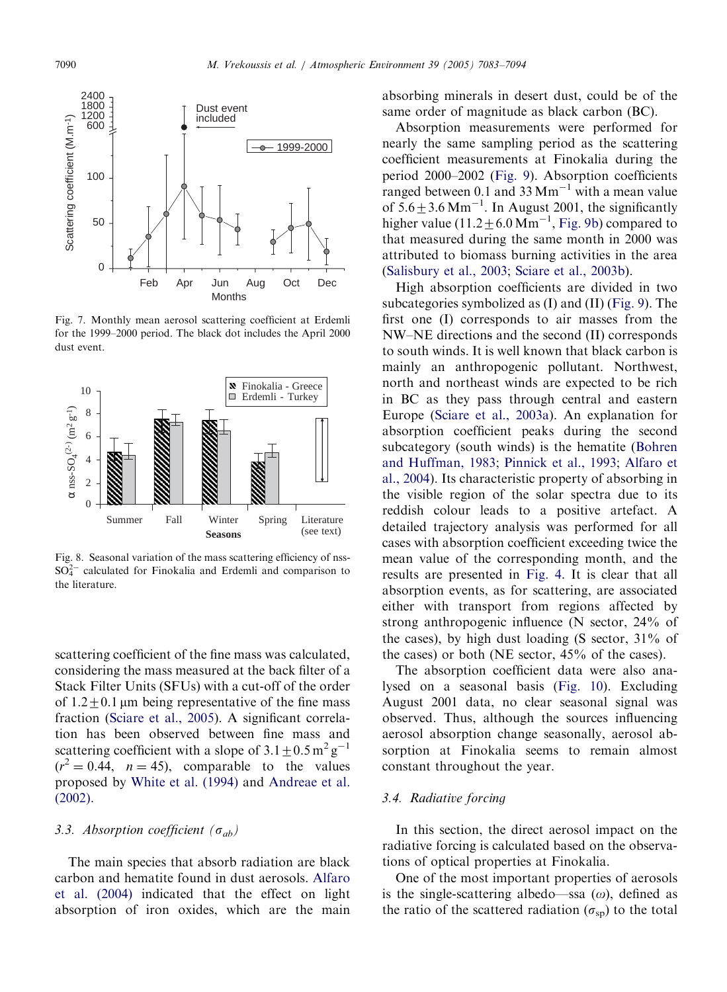<span id="page-7-0"></span>

Fig. 7. Monthly mean aerosol scattering coefficient at Erdemli for the 1999–2000 period. The black dot includes the April 2000 dust event.



Fig. 8. Seasonal variation of the mass scattering efficiency of nss- $SO_4^{2-}$  calculated for Finokalia and Erdemli and comparison to the literature.

scattering coefficient of the fine mass was calculated, considering the mass measured at the back filter of a Stack Filter Units (SFUs) with a cut-off of the order of  $1.2+0.1$  µm being representative of the fine mass fraction [\(Sciare et al., 2005](#page-11-0)). A significant correlation has been observed between fine mass and scattering coefficient with a slope of  $3.1 \pm 0.5$  m<sup>2</sup> g<sup>-1</sup>  $(r^2 = 0.44, n = 45)$ , comparable to the values proposed by [White et al. \(1994\)](#page-11-0) and [Andreae et al.](#page-10-0) [\(2002\).](#page-10-0)

# 3.3. Absorption coefficient  $(\sigma_{ab})$

The main species that absorb radiation are black carbon and hematite found in dust aerosols. [Alfaro](#page-10-0) [et al. \(2004\)](#page-10-0) indicated that the effect on light absorption of iron oxides, which are the main

absorbing minerals in desert dust, could be of the same order of magnitude as black carbon (BC).

Absorption measurements were performed for nearly the same sampling period as the scattering coefficient measurements at Finokalia during the period 2000–2002 [\(Fig. 9\)](#page-8-0). Absorption coefficients ranged between 0.1 and  $33$  Mm<sup>-1</sup> with a mean value of  $5.6 \pm 3.6$  Mm<sup>-1</sup>. In August 2001, the significantly higher value  $(11.2 \pm 6.0 \text{ Mm}^{-1})$ , [Fig. 9b](#page-8-0)) compared to that measured during the same month in 2000 was attributed to biomass burning activities in the area ([Salisbury et al., 2003;](#page-11-0) [Sciare et al., 2003b\)](#page-11-0).

High absorption coefficients are divided in two subcategories symbolized as (I) and (II) [\(Fig. 9\)](#page-8-0). The first one (I) corresponds to air masses from the NW–NE directions and the second (II) corresponds to south winds. It is well known that black carbon is mainly an anthropogenic pollutant. Northwest, north and northeast winds are expected to be rich in BC as they pass through central and eastern Europe ([Sciare et al., 2003a](#page-11-0)). An explanation for absorption coefficient peaks during the second subcategory (south winds) is the hematite ([Bohren](#page-10-0) [and Huffman, 1983](#page-10-0); [Pinnick et al., 1993;](#page-11-0) [Alfaro et](#page-10-0) [al., 2004\)](#page-10-0). Its characteristic property of absorbing in the visible region of the solar spectra due to its reddish colour leads to a positive artefact. A detailed trajectory analysis was performed for all cases with absorption coefficient exceeding twice the mean value of the corresponding month, and the results are presented in [Fig. 4](#page-5-0). It is clear that all absorption events, as for scattering, are associated either with transport from regions affected by strong anthropogenic influence (N sector, 24% of the cases), by high dust loading (S sector, 31% of the cases) or both (NE sector, 45% of the cases).

The absorption coefficient data were also analysed on a seasonal basis ([Fig. 10\)](#page-8-0). Excluding August 2001 data, no clear seasonal signal was observed. Thus, although the sources influencing aerosol absorption change seasonally, aerosol absorption at Finokalia seems to remain almost constant throughout the year.

# 3.4. Radiative forcing

In this section, the direct aerosol impact on the radiative forcing is calculated based on the observations of optical properties at Finokalia.

One of the most important properties of aerosols is the single-scattering albedo—ssa  $(\omega)$ , defined as the ratio of the scattered radiation ( $\sigma_{\rm SD}$ ) to the total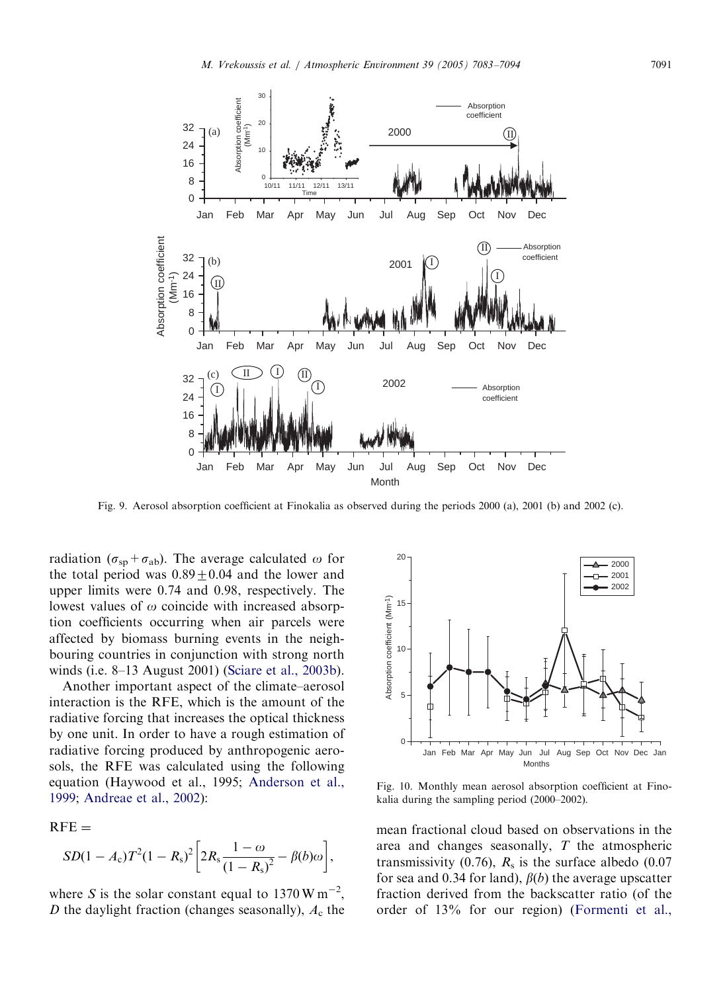<span id="page-8-0"></span>

Fig. 9. Aerosol absorption coefficient at Finokalia as observed during the periods 2000 (a), 2001 (b) and 2002 (c).

radiation ( $\sigma_{sp}+\sigma_{ab}$ ). The average calculated  $\omega$  for the total period was  $0.89 \pm 0.04$  and the lower and upper limits were 0.74 and 0.98, respectively. The lowest values of  $\omega$  coincide with increased absorption coefficients occurring when air parcels were affected by biomass burning events in the neighbouring countries in conjunction with strong north winds (i.e. 8–13 August 2001) ([Sciare et al., 2003b\)](#page-11-0).

Another important aspect of the climate–aerosol interaction is the RFE, which is the amount of the radiative forcing that increases the optical thickness by one unit. In order to have a rough estimation of radiative forcing produced by anthropogenic aerosols, the RFE was calculated using the following equation (Haywood et al., 1995; [Anderson et al.,](#page-10-0) [1999;](#page-10-0) [Andreae et al., 2002\)](#page-10-0):

 $RFE =$ 

$$
SD(1 - A_{c})T^{2}(1 - R_{s})^{2} \left[ 2R_{s} \frac{1 - \omega}{(1 - R_{s})^{2}} - \beta(b)\omega \right],
$$

where S is the solar constant equal to  $1370 \,\mathrm{W m}^{-2}$ , D the daylight fraction (changes seasonally),  $A_c$  the



Fig. 10. Monthly mean aerosol absorption coefficient at Finokalia during the sampling period (2000–2002).

mean fractional cloud based on observations in the area and changes seasonally, T the atmospheric transmissivity (0.76),  $R_s$  is the surface albedo (0.07 for sea and 0.34 for land),  $\beta(b)$  the average upscatter fraction derived from the backscatter ratio (of the order of 13% for our region) [\(Formenti et al.,](#page-10-0)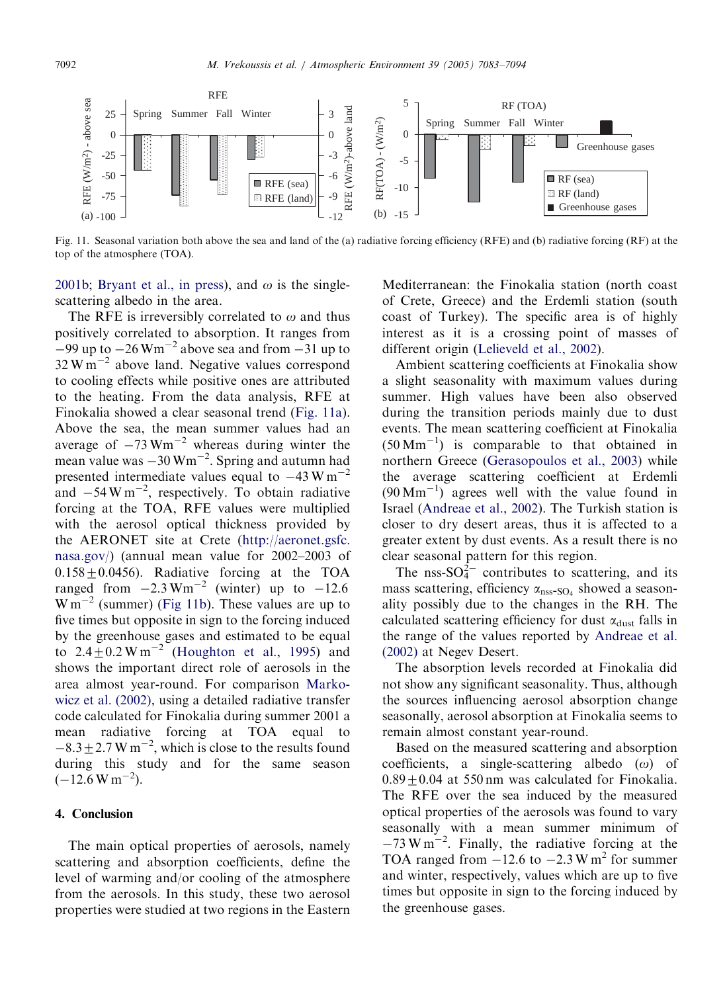

Fig. 11. Seasonal variation both above the sea and land of the (a) radiative forcing efficiency (RFE) and (b) radiative forcing (RF) at the top of the atmosphere (TOA).

[2001b;](#page-10-0) [Bryant et al., in press](#page-10-0)), and  $\omega$  is the singlescattering albedo in the area.

The RFE is irreversibly correlated to  $\omega$  and thus positively correlated to absorption. It ranges from  $-99$  up to  $-26$  Wm<sup>-2</sup> above sea and from  $-31$  up to  $32 \text{ W m}^{-2}$  above land. Negative values correspond to cooling effects while positive ones are attributed to the heating. From the data analysis, RFE at Finokalia showed a clear seasonal trend (Fig. 11a). Above the sea, the mean summer values had an average of  $-73$  Wm<sup>-2</sup> whereas during winter the mean value was  $-30$  Wm<sup> $-2$ </sup>. Spring and autumn had presented intermediate values equal to  $-43$  W m<sup>-2</sup> and  $-54 \text{ W m}^{-2}$ , respectively. To obtain radiative forcing at the TOA, RFE values were multiplied with the aerosol optical thickness provided by the AERONET site at Crete [\(http://aeronet.gsfc.](http://aeronet.gsfc.nasa.gov/) [nasa.gov/](http://aeronet.gsfc.nasa.gov/)) (annual mean value for 2002–2003 of  $0.158 \pm 0.0456$ ). Radiative forcing at the TOA ranged from  $-2.3 \text{ Wm}^{-2}$  (winter) up to  $-12.6$  $W m^{-2}$  (summer) (Fig 11b). These values are up to five times but opposite in sign to the forcing induced by the greenhouse gases and estimated to be equal to  $2.4\pm0.2$  W m<sup>-2</sup> [\(Houghton et al., 1995\)](#page-10-0) and shows the important direct role of aerosols in the area almost year-round. For comparison [Marko](#page-11-0)[wicz et al. \(2002\)](#page-11-0), using a detailed radiative transfer code calculated for Finokalia during summer 2001 a mean radiative forcing at TOA equal to  $-8.3 \pm 2.7$  W m<sup>-2</sup>, which is close to the results found during this study and for the same season  $(-12.6 W m^{-2}).$ 

# 4. Conclusion

The main optical properties of aerosols, namely scattering and absorption coefficients, define the level of warming and/or cooling of the atmosphere from the aerosols. In this study, these two aerosol properties were studied at two regions in the Eastern Mediterranean: the Finokalia station (north coast of Crete, Greece) and the Erdemli station (south coast of Turkey). The specific area is of highly interest as it is a crossing point of masses of different origin ([Lelieveld et al., 2002\)](#page-11-0).

Ambient scattering coefficients at Finokalia show a slight seasonality with maximum values during summer. High values have been also observed during the transition periods mainly due to dust events. The mean scattering coefficient at Finokalia  $(50 \text{ Mm}^{-1})$  is comparable to that obtained in northern Greece ([Gerasopoulos et al., 2003](#page-10-0)) while the average scattering coefficient at Erdemli  $(90 \text{ Mm}^{-1})$  agrees well with the value found in Israel [\(Andreae et al., 2002\)](#page-10-0). The Turkish station is closer to dry desert areas, thus it is affected to a greater extent by dust events. As a result there is no clear seasonal pattern for this region.

The nss-SO $_4^2$  contributes to scattering, and its mass scattering, efficiency  $\alpha_{\text{nss-SO}_4}$  showed a seasonality possibly due to the changes in the RH. The calculated scattering efficiency for dust  $\alpha_{\text{dust}}$  falls in the range of the values reported by [Andreae et al.](#page-10-0) [\(2002\)](#page-10-0) at Negev Desert.

The absorption levels recorded at Finokalia did not show any significant seasonality. Thus, although the sources influencing aerosol absorption change seasonally, aerosol absorption at Finokalia seems to remain almost constant year-round.

Based on the measured scattering and absorption coefficients, a single-scattering albedo  $(\omega)$  of  $0.89 + 0.04$  at 550 nm was calculated for Finokalia. The RFE over the sea induced by the measured optical properties of the aerosols was found to vary seasonally with a mean summer minimum of  $-73$  W m<sup>-2</sup>. Finally, the radiative forcing at the TOA ranged from  $-12.6$  to  $-2.3$  W m<sup>2</sup> for summer and winter, respectively, values which are up to five times but opposite in sign to the forcing induced by the greenhouse gases.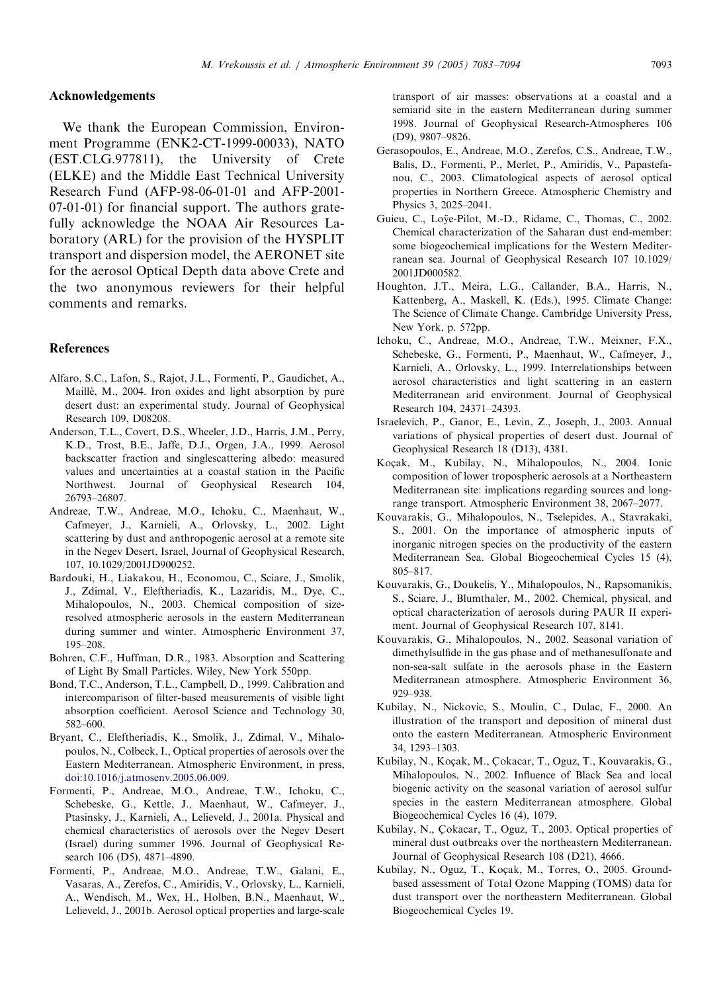# <span id="page-10-0"></span>Acknowledgements

We thank the European Commission, Environment Programme (ENK2-CT-1999-00033), NATO (EST.CLG.977811), the University of Crete (ELKE) and the Middle East Technical University Research Fund (AFP-98-06-01-01 and AFP-2001- 07-01-01) for financial support. The authors gratefully acknowledge the NOAA Air Resources Laboratory (ARL) for the provision of the HYSPLIT transport and dispersion model, the AERONET site for the aerosol Optical Depth data above Crete and the two anonymous reviewers for their helpful comments and remarks.

#### References

- Alfaro, S.C., Lafon, S., Rajot, J.L., Formenti, P., Gaudichet, A., Maillé, M., 2004. Iron oxides and light absorption by pure desert dust: an experimental study. Journal of Geophysical Research 109, D08208.
- Anderson, T.L., Covert, D.S., Wheeler, J.D., Harris, J.M., Perry, K.D., Trost, B.E., Jaffe, D.J., Orgen, J.A., 1999. Aerosol backscatter fraction and singlescattering albedo: measured values and uncertainties at a coastal station in the Pacific Northwest. Journal of Geophysical Research 104, 26793–26807.
- Andreae, T.W., Andreae, M.O., Ichoku, C., Maenhaut, W., Cafmeyer, J., Karnieli, A., Orlovsky, L., 2002. Light scattering by dust and anthropogenic aerosol at a remote site in the Negev Desert, Israel, Journal of Geophysical Research, 107, 10.1029/2001JD900252.
- Bardouki, H., Liakakou, H., Economou, C., Sciare, J., Smolik, J., Zdimal, V., Eleftheriadis, K., Lazaridis, M., Dye, C., Mihalopoulos, N., 2003. Chemical composition of sizeresolved atmospheric aerosols in the eastern Mediterranean during summer and winter. Atmospheric Environment 37, 195–208.
- Bohren, C.F., Huffman, D.R., 1983. Absorption and Scattering of Light By Small Particles. Wiley, New York 550pp.
- Bond, T.C., Anderson, T.L., Campbell, D., 1999. Calibration and intercomparison of filter-based measurements of visible light absorption coefficient. Aerosol Science and Technology 30, 582–600.
- Bryant, C., Eleftheriadis, K., Smolik, J., Zdimal, V., Mihalopoulos, N., Colbeck, I., Optical properties of aerosols over the Eastern Mediterranean. Atmospheric Environment, in press, [doi:10.1016/j.atmosenv.2005.06.009.](dx.doi.org/10.1016/j.atmosenv.2005.06.009)
- Formenti, P., Andreae, M.O., Andreae, T.W., Ichoku, C., Schebeske, G., Kettle, J., Maenhaut, W., Cafmeyer, J., Ptasinsky, J., Karnieli, A., Lelieveld, J., 2001a. Physical and chemical characteristics of aerosols over the Negev Desert (Israel) during summer 1996. Journal of Geophysical Research 106 (D5), 4871–4890.
- Formenti, P., Andreae, M.O., Andreae, T.W., Galani, E., Vasaras, A., Zerefos, C., Amiridis, V., Orlovsky, L., Karnieli, A., Wendisch, M., Wex, H., Holben, B.N., Maenhaut, W., Lelieveld, J., 2001b. Aerosol optical properties and large-scale

transport of air masses: observations at a coastal and a semiarid site in the eastern Mediterranean during summer 1998. Journal of Geophysical Research-Atmospheres 106 (D9), 9807–9826.

- Gerasopoulos, E., Andreae, M.O., Zerefos, C.S., Andreae, T.W., Balis, D., Formenti, P., Merlet, P., Amiridis, V., Papastefanou, C., 2003. Climatological aspects of aerosol optical properties in Northern Greece. Atmospheric Chemistry and Physics 3, 2025–2041.
- Guieu, C., Loÿe-Pilot, M.-D., Ridame, C., Thomas, C., 2002. Chemical characterization of the Saharan dust end-member: some biogeochemical implications for the Western Mediterranean sea. Journal of Geophysical Research 107 10.1029/ 2001JD000582.
- Houghton, J.T., Meira, L.G., Callander, B.A., Harris, N., Kattenberg, A., Maskell, K. (Eds.), 1995. Climate Change: The Science of Climate Change. Cambridge University Press, New York, p. 572pp.
- Ichoku, C., Andreae, M.O., Andreae, T.W., Meixner, F.X., Schebeske, G., Formenti, P., Maenhaut, W., Cafmeyer, J., Karnieli, A., Orlovsky, L., 1999. Interrelationships between aerosol characteristics and light scattering in an eastern Mediterranean arid environment. Journal of Geophysical Research 104, 24371–24393.
- Israelevich, P., Ganor, E., Levin, Z., Joseph, J., 2003. Annual variations of physical properties of desert dust. Journal of Geophysical Research 18 (D13), 4381.
- Koçak, M., Kubilay, N., Mihalopoulos, N., 2004. Ionic composition of lower tropospheric aerosols at a Northeastern Mediterranean site: implications regarding sources and longrange transport. Atmospheric Environment 38, 2067–2077.
- Kouvarakis, G., Mihalopoulos, N., Tselepides, A., Stavrakaki, S., 2001. On the importance of atmospheric inputs of inorganic nitrogen species on the productivity of the eastern Mediterranean Sea. Global Biogeochemical Cycles 15 (4), 805–817.
- Kouvarakis, G., Doukelis, Y., Mihalopoulos, N., Rapsomanikis, S., Sciare, J., Blumthaler, M., 2002. Chemical, physical, and optical characterization of aerosols during PAUR II experiment. Journal of Geophysical Research 107, 8141.
- Kouvarakis, G., Mihalopoulos, N., 2002. Seasonal variation of dimethylsulfide in the gas phase and of methanesulfonate and non-sea-salt sulfate in the aerosols phase in the Eastern Mediterranean atmosphere. Atmospheric Environment 36, 929–938.
- Kubilay, N., Nickovic, S., Moulin, C., Dulac, F., 2000. An illustration of the transport and deposition of mineral dust onto the eastern Mediterranean. Atmospheric Environment 34, 1293–1303.
- Kubilay, N., Koçak, M., Çokacar, T., Oguz, T., Kouvarakis, G., Mihalopoulos, N., 2002. Influence of Black Sea and local biogenic activity on the seasonal variation of aerosol sulfur species in the eastern Mediterranean atmosphere. Global Biogeochemical Cycles 16 (4), 1079.
- Kubilay, N., Çokacar, T., Oguz, T., 2003. Optical properties of mineral dust outbreaks over the northeastern Mediterranean. Journal of Geophysical Research 108 (D21), 4666.
- Kubilay, N., Oguz, T., Koçak, M., Torres, O., 2005. Groundbased assessment of Total Ozone Mapping (TOMS) data for dust transport over the northeastern Mediterranean. Global Biogeochemical Cycles 19.